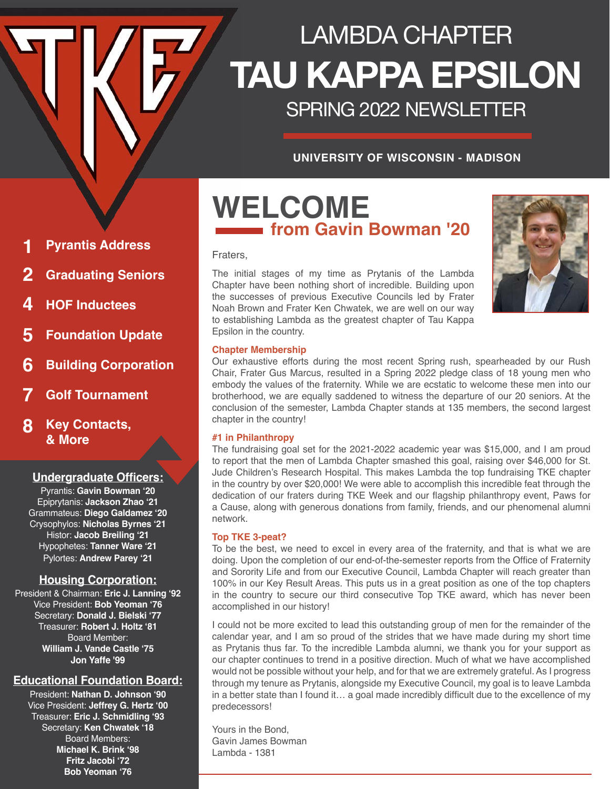

# LAMBDA CHAPTER **TAU KAPPA EPSILON** SPRING 2022 NEWSLETTER

#### **UNIVERSITY OF WISCONSIN - MADISON**

**1** Pyrantis Address

**TABLE OF** 

- **2 Graduating Seniors**
- **4 HOF Inductees**
- **5 Foundation Update**
- **6 Building Corporation**
- **7 Golf Tournament**

#### **8 Key Contacts, & More**

#### **Undergraduate Officers:**

Pyrantis: **Gavin Bowman '20** Epiprytanis: **Jackson Zhao '21** Grammateus: **Diego Galdamez '20** Crysophylos: **Nicholas Byrnes '21** Histor: **Jacob Breiling '21** Hypophetes: **Tanner Ware '21** Pylortes: **Andrew Parey '21**

#### **Housing Corporation:**

President & Chairman: **Eric J. Lanning '92** Vice President: **Bob Yeoman '76** Secretary: **Donald J. Bielski '77** Treasurer: **Robert J. Holtz '81** Board Member: **William J. Vande Castle '75 Jon Yaffe '99**

#### **Educational Foundation Board:**

President: **Nathan D. Johnson '90** Vice President: **Jeffrey G. Hertz '00** Treasurer: **Eric J. Schmidling '93** Secretary: **Ken Chwatek '18** Board Members: **Michael K. Brink '98 Fritz Jacobi '72 Bob Yeoman '76**

# **WELCOME <u>Example 120</u>** from Gavin Bowman '20

#### Fraters,

The initial stages of my time as Prytanis of the Lambda Chapter have been nothing short of incredible. Building upon the successes of previous Executive Councils led by Frater Noah Brown and Frater Ken Chwatek, we are well on our way to establishing Lambda as the greatest chapter of Tau Kappa Epsilon in the country.



Our exhaustive efforts during the most recent Spring rush, spearheaded by our Rush Chair, Frater Gus Marcus, resulted in a Spring 2022 pledge class of 18 young men who embody the values of the fraternity. While we are ecstatic to welcome these men into our brotherhood, we are equally saddened to witness the departure of our 20 seniors. At the conclusion of the semester, Lambda Chapter stands at 135 members, the second largest chapter in the country!

#### **#1 in Philanthropy**

The fundraising goal set for the 2021-2022 academic year was \$15,000, and I am proud to report that the men of Lambda Chapter smashed this goal, raising over \$46,000 for St. Jude Children's Research Hospital. This makes Lambda the top fundraising TKE chapter in the country by over \$20,000! We were able to accomplish this incredible feat through the dedication of our fraters during TKE Week and our flagship philanthropy event, Paws for a Cause, along with generous donations from family, friends, and our phenomenal alumni network.

#### **Top TKE 3-peat?**

To be the best, we need to excel in every area of the fraternity, and that is what we are doing. Upon the completion of our end-of-the-semester reports from the Office of Fraternity and Sorority Life and from our Executive Council, Lambda Chapter will reach greater than 100% in our Key Result Areas. This puts us in a great position as one of the top chapters in the country to secure our third consecutive Top TKE award, which has never been accomplished in our history!

I could not be more excited to lead this outstanding group of men for the remainder of the calendar year, and I am so proud of the strides that we have made during my short time as Prytanis thus far. To the incredible Lambda alumni, we thank you for your support as our chapter continues to trend in a positive direction. Much of what we have accomplished would not be possible without your help, and for that we are extremely grateful. As I progress through my tenure as Prytanis, alongside my Executive Council, my goal is to leave Lambda in a better state than I found it… a goal made incredibly difficult due to the excellence of my predecessors!

Yours in the Bond, Gavin James Bowman Lambda - 1381

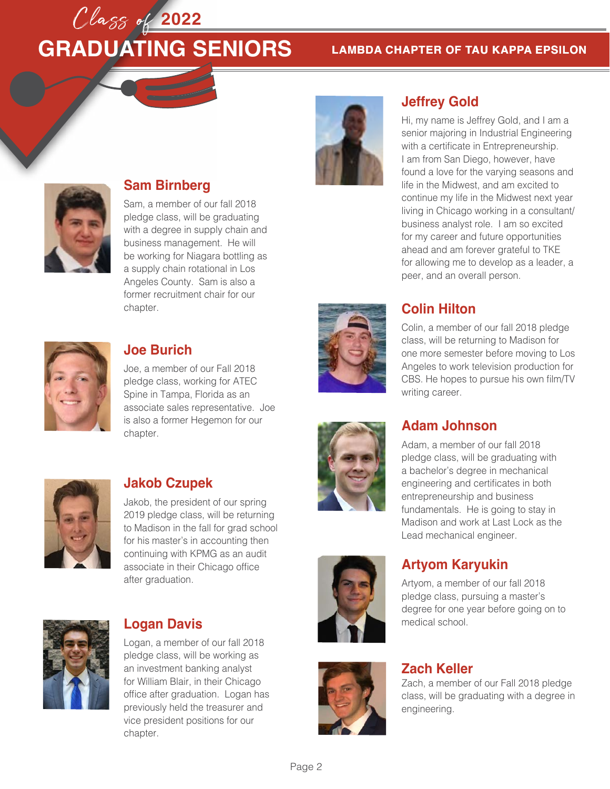

#### **LAMBDA CHAPTER OF TAU KAPPA EPSILON**



### **Sam Birnberg**

Sam, a member of our fall 2018 pledge class, will be graduating with a degree in supply chain and business management. He will be working for Niagara bottling as a supply chain rotational in Los Angeles County. Sam is also a former recruitment chair for our chapter.



#### **Joe Burich**

Joe, a member of our Fall 2018 pledge class, working for ATEC Spine in Tampa, Florida as an associate sales representative. Joe is also a former Hegemon for our chapter.



#### **Jakob Czupek**

Jakob, the president of our spring 2019 pledge class, will be returning to Madison in the fall for grad school for his master's in accounting then continuing with KPMG as an audit associate in their Chicago office after graduation.



#### **Logan Davis**

Logan, a member of our fall 2018 pledge class, will be working as an investment banking analyst for William Blair, in their Chicago office after graduation. Logan has previously held the treasurer and vice president positions for our chapter.



### **Jeffrey Gold**

Hi, my name is Jeffrey Gold, and I am a senior majoring in Industrial Engineering with a certificate in Entrepreneurship. I am from San Diego, however, have found a love for the varying seasons and life in the Midwest, and am excited to continue my life in the Midwest next year living in Chicago working in a consultant/ business analyst role. I am so excited for my career and future opportunities ahead and am forever grateful to TKE for allowing me to develop as a leader, a peer, and an overall person.



#### **Colin Hilton**

Colin, a member of our fall 2018 pledge class, will be returning to Madison for one more semester before moving to Los Angeles to work television production for CBS. He hopes to pursue his own film/TV writing career.



### **Adam Johnson**

Adam, a member of our fall 2018 pledge class, will be graduating with a bachelor's degree in mechanical engineering and certificates in both entrepreneurship and business fundamentals. He is going to stay in Madison and work at Last Lock as the Lead mechanical engineer.

### **Artyom Karyukin**

Artyom, a member of our fall 2018 pledge class, pursuing a master's degree for one year before going on to medical school.

### **Zach Keller**

Zach, a member of our Fall 2018 pledge class, will be graduating with a degree in engineering.





Page 2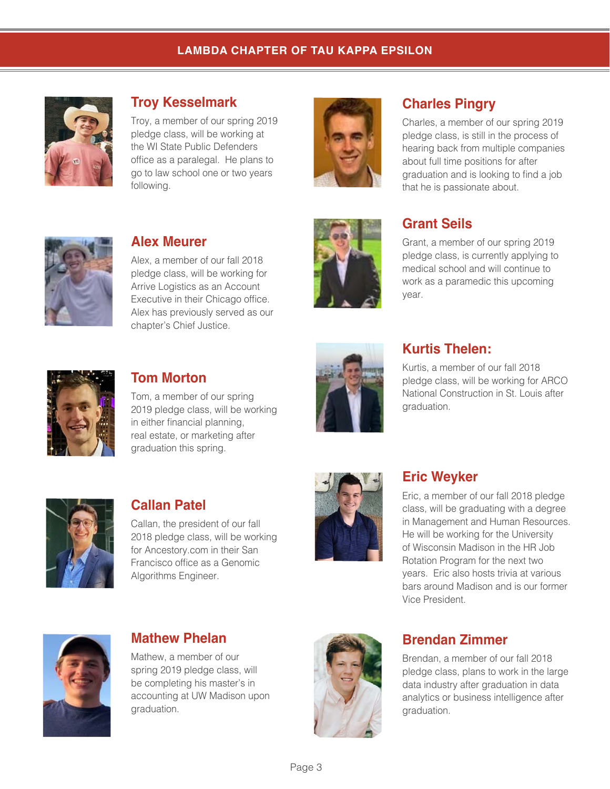#### **LAMBDA CHAPTER OF TAU KAPPA EPSILON**



### **Troy Kesselmark**

Troy, a member of our spring 2019 pledge class, will be working at the WI State Public Defenders office as a paralegal. He plans to go to law school one or two years following.



## **Charles Pingry**

Charles, a member of our spring 2019 pledge class, is still in the process of hearing back from multiple companies about full time positions for after graduation and is looking to find a job that he is passionate about.



**Alex Meurer**

Alex, a member of our fall 2018 pledge class, will be working for Arrive Logistics as an Account Executive in their Chicago office. Alex has previously served as our chapter's Chief Justice.



### **Grant Seils**

Grant, a member of our spring 2019 pledge class, is currently applying to medical school and will continue to work as a paramedic this upcoming year.



## **Tom Morton**

Tom, a member of our spring 2019 pledge class, will be working in either financial planning, real estate, or marketing after graduation this spring.



## **Kurtis Thelen:**

Kurtis, a member of our fall 2018 pledge class, will be working for ARCO National Construction in St. Louis after graduation.



# **Callan Patel**

Callan, the president of our fall 2018 pledge class, will be working for Ancestory.com in their San Francisco office as a Genomic Algorithms Engineer.



## **Eric Weyker**

Eric, a member of our fall 2018 pledge class, will be graduating with a degree in Management and Human Resources. He will be working for the University of Wisconsin Madison in the HR Job Rotation Program for the next two years. Eric also hosts trivia at various bars around Madison and is our former Vice President.



### **Mathew Phelan**

Mathew, a member of our spring 2019 pledge class, will be completing his master's in accounting at UW Madison upon graduation.



## **Brendan Zimmer**

Brendan, a member of our fall 2018 pledge class, plans to work in the large data industry after graduation in data analytics or business intelligence after graduation.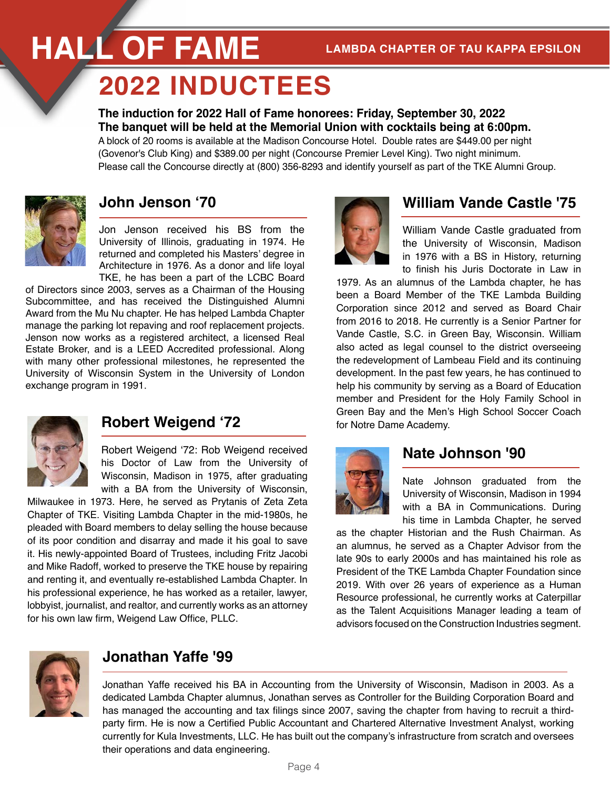# **HALL OF FAME LAMBDA CHAPTER OF TAU KAPPA EPSILON**

# **2022 INDUCTEES**

#### **The induction for 2022 Hall of Fame honorees: Friday, September 30, 2022 The banquet will be held at the Memorial Union with cocktails being at 6:00pm.**

A block of 20 rooms is available at the Madison Concourse Hotel. Double rates are \$449.00 per night (Govenor's Club King) and \$389.00 per night (Concourse Premier Level King). Two night minimum. Please call the Concourse directly at (800) 356-8293 and identify yourself as part of the TKE Alumni Group.



# **John Jenson '70**

Jon Jenson received his BS from the University of Illinois, graduating in 1974. He returned and completed his Masters' degree in Architecture in 1976. As a donor and life loyal TKE, he has been a part of the LCBC Board

of Directors since 2003, serves as a Chairman of the Housing Subcommittee, and has received the Distinguished Alumni Award from the Mu Nu chapter. He has helped Lambda Chapter manage the parking lot repaving and roof replacement projects. Jenson now works as a registered architect, a licensed Real Estate Broker, and is a LEED Accredited professional. Along with many other professional milestones, he represented the University of Wisconsin System in the University of London exchange program in 1991.



# **Robert Weigend '72**

Robert Weigend '72: Rob Weigend received his Doctor of Law from the University of Wisconsin, Madison in 1975, after graduating with a BA from the University of Wisconsin,

Milwaukee in 1973. Here, he served as Prytanis of Zeta Zeta Chapter of TKE. Visiting Lambda Chapter in the mid-1980s, he pleaded with Board members to delay selling the house because of its poor condition and disarray and made it his goal to save it. His newly-appointed Board of Trustees, including Fritz Jacobi and Mike Radoff, worked to preserve the TKE house by repairing and renting it, and eventually re-established Lambda Chapter. In his professional experience, he has worked as a retailer, lawyer, lobbyist, journalist, and realtor, and currently works as an attorney for his own law firm, Weigend Law Office, PLLC.



# **William Vande Castle '75**

William Vande Castle graduated from the University of Wisconsin, Madison in 1976 with a BS in History, returning to finish his Juris Doctorate in Law in

1979. As an alumnus of the Lambda chapter, he has been a Board Member of the TKE Lambda Building Corporation since 2012 and served as Board Chair from 2016 to 2018. He currently is a Senior Partner for Vande Castle, S.C. in Green Bay, Wisconsin. William also acted as legal counsel to the district overseeing the redevelopment of Lambeau Field and its continuing development. In the past few years, he has continued to help his community by serving as a Board of Education member and President for the Holy Family School in Green Bay and the Men's High School Soccer Coach for Notre Dame Academy.



## **Nate Johnson '90**

Nate Johnson graduated from the University of Wisconsin, Madison in 1994 with a BA in Communications. During his time in Lambda Chapter, he served

as the chapter Historian and the Rush Chairman. As an alumnus, he served as a Chapter Advisor from the late 90s to early 2000s and has maintained his role as President of the TKE Lambda Chapter Foundation since 2019. With over 26 years of experience as a Human Resource professional, he currently works at Caterpillar as the Talent Acquisitions Manager leading a team of advisors focused on the Construction Industries segment.



# **Jonathan Yaffe '99**

Jonathan Yaffe received his BA in Accounting from the University of Wisconsin, Madison in 2003. As a dedicated Lambda Chapter alumnus, Jonathan serves as Controller for the Building Corporation Board and has managed the accounting and tax filings since 2007, saving the chapter from having to recruit a thirdparty firm. He is now a Certified Public Accountant and Chartered Alternative Investment Analyst, working currently for Kula Investments, LLC. He has built out the company's infrastructure from scratch and oversees their operations and data engineering.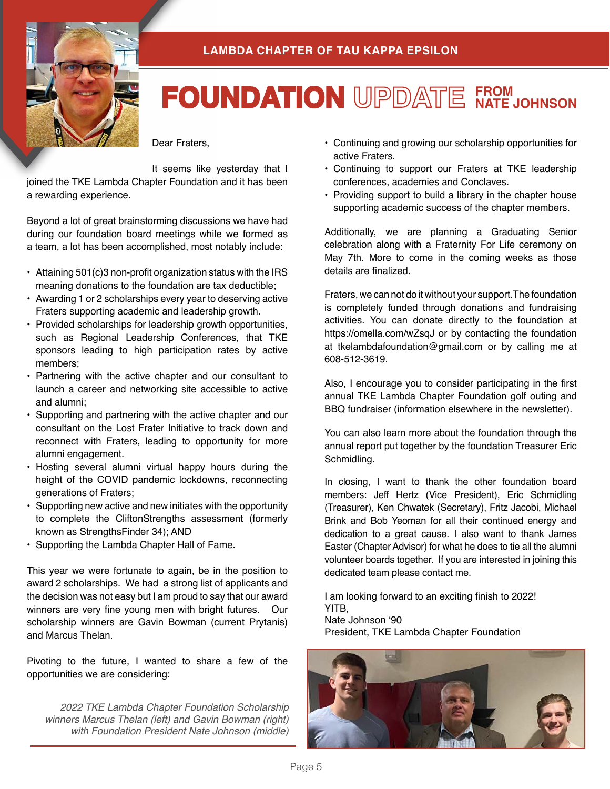

## **FOUNDATION UPDATE FROM NATE JOHNSON**

Dear Fraters,

It seems like yesterday that I joined the TKE Lambda Chapter Foundation and it has been a rewarding experience.

Beyond a lot of great brainstorming discussions we have had during our foundation board meetings while we formed as a team, a lot has been accomplished, most notably include:

- Attaining 501(c)3 non-profit organization status with the IRS meaning donations to the foundation are tax deductible;
- Awarding 1 or 2 scholarships every year to deserving active Fraters supporting academic and leadership growth.
- Provided scholarships for leadership growth opportunities, such as Regional Leadership Conferences, that TKE sponsors leading to high participation rates by active members;
- Partnering with the active chapter and our consultant to launch a career and networking site accessible to active and alumni;
- Supporting and partnering with the active chapter and our consultant on the Lost Frater Initiative to track down and reconnect with Fraters, leading to opportunity for more alumni engagement.
- Hosting several alumni virtual happy hours during the height of the COVID pandemic lockdowns, reconnecting generations of Fraters;
- Supporting new active and new initiates with the opportunity to complete the CliftonStrengths assessment (formerly known as StrengthsFinder 34); AND
- Supporting the Lambda Chapter Hall of Fame.

This year we were fortunate to again, be in the position to award 2 scholarships. We had a strong list of applicants and the decision was not easy but I am proud to say that our award winners are very fine young men with bright futures. Our scholarship winners are Gavin Bowman (current Prytanis) and Marcus Thelan.

Pivoting to the future, I wanted to share a few of the opportunities we are considering:

*2022 TKE Lambda Chapter Foundation Scholarship winners Marcus Thelan (left) and Gavin Bowman (right) with Foundation President Nate Johnson (middle)* 

- Continuing and growing our scholarship opportunities for active Fraters.
- Continuing to support our Fraters at TKE leadership conferences, academies and Conclaves.
- Providing support to build a library in the chapter house supporting academic success of the chapter members.

Additionally, we are planning a Graduating Senior celebration along with a Fraternity For Life ceremony on May 7th. More to come in the coming weeks as those details are finalized.

Fraters, we can not do it without your support.The foundation is completely funded through donations and fundraising activities. You can donate directly to the foundation at https://omella.com/wZsqJ or by contacting the foundation at tkelambdafoundation@gmail.com or by calling me at 608-512-3619.

Also, I encourage you to consider participating in the first annual TKE Lambda Chapter Foundation golf outing and BBQ fundraiser (information elsewhere in the newsletter).

You can also learn more about the foundation through the annual report put together by the foundation Treasurer Eric Schmidling.

In closing, I want to thank the other foundation board members: Jeff Hertz (Vice President), Eric Schmidling (Treasurer), Ken Chwatek (Secretary), Fritz Jacobi, Michael Brink and Bob Yeoman for all their continued energy and dedication to a great cause. I also want to thank James Easter (Chapter Advisor) for what he does to tie all the alumni volunteer boards together. If you are interested in joining this dedicated team please contact me.

I am looking forward to an exciting finish to 2022! YITB, Nate Johnson '90 President, TKE Lambda Chapter Foundation

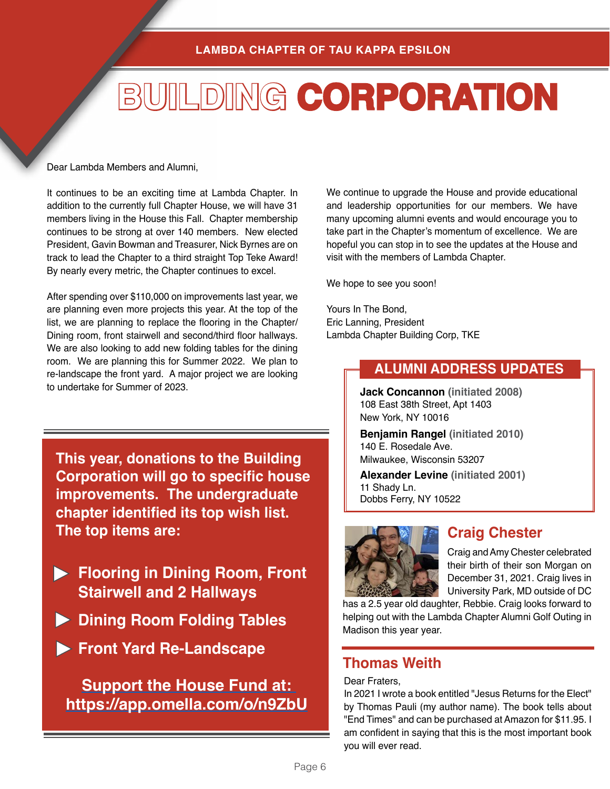#### **LAMBDA CHAPTER OF TAU KAPPA EPSILON**

# **BUILDING CORPORATION**

Dear Lambda Members and Alumni,

It continues to be an exciting time at Lambda Chapter. In addition to the currently full Chapter House, we will have 31 members living in the House this Fall. Chapter membership continues to be strong at over 140 members. New elected President, Gavin Bowman and Treasurer, Nick Byrnes are on track to lead the Chapter to a third straight Top Teke Award! By nearly every metric, the Chapter continues to excel.

After spending over \$110,000 on improvements last year, we are planning even more projects this year. At the top of the list, we are planning to replace the flooring in the Chapter/ Dining room, front stairwell and second/third floor hallways. We are also looking to add new folding tables for the dining room. We are planning this for Summer 2022. We plan to re-landscape the front yard. A major project we are looking to undertake for Summer of 2023.

**This year, donations to the Building Corporation will go to specific house improvements. The undergraduate chapter identified its top wish list. The top items are:**

- **Flooring in Dining Room, Front Stairwell and 2 Hallways**
- **Dining Room Folding Tables**
- **Front Yard Re-Landscape**

**Support the House Fund at: <https://app.omella.com/o/n9ZbU>** We continue to upgrade the House and provide educational and leadership opportunities for our members. We have many upcoming alumni events and would encourage you to take part in the Chapter's momentum of excellence. We are hopeful you can stop in to see the updates at the House and visit with the members of Lambda Chapter.

We hope to see you soon!

Yours In The Bond, Eric Lanning, President Lambda Chapter Building Corp, TKE

#### **ALUMNI ADDRESS UPDATES**

**Jack Concannon (initiated 2008)** 108 East 38th Street, Apt 1403 New York, NY 10016

**Benjamin Rangel (initiated 2010)** 140 E. Rosedale Ave. Milwaukee, Wisconsin 53207

**Alexander Levine (initiated 2001)** 11 Shady Ln. Dobbs Ferry, NY 10522



#### **Craig Chester**

Craig and Amy Chester celebrated their birth of their son Morgan on December 31, 2021. Craig lives in University Park, MD outside of DC

has a 2.5 year old daughter, Rebbie. Craig looks forward to helping out with the Lambda Chapter Alumni Golf Outing in Madison this year year.

#### **Thomas Weith**

#### Dear Fraters,

In 2021 I wrote a book entitled "Jesus Returns for the Elect" by Thomas Pauli (my author name). The book tells about "End Times" and can be purchased at Amazon for \$11.95. I am confident in saying that this is the most important book you will ever read.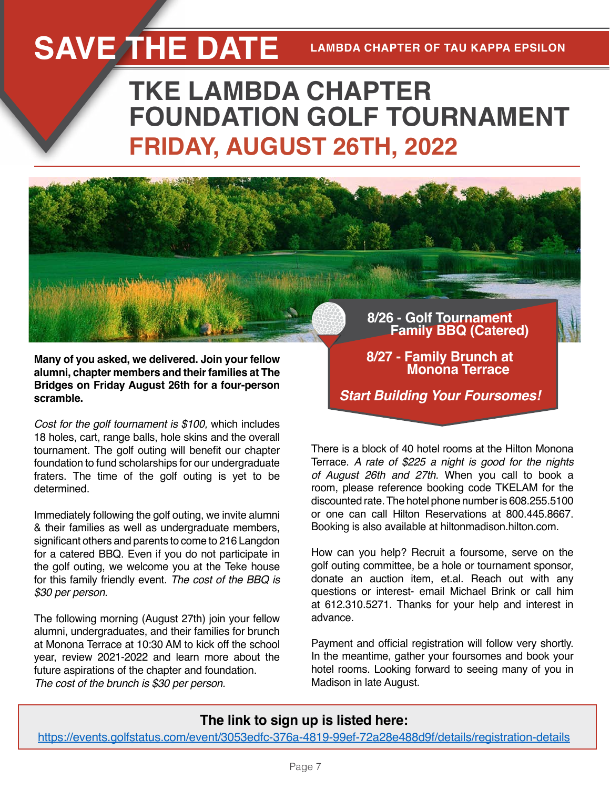# **SAVE THE DATE LAMBDA CHAPTER OF TAU KAPPA EPSILON**

# **TKE LAMBDA CHAPTER FOUNDATION GOLF TOURNAMENT FRIDAY, AUGUST 26TH, 2022**



**Many of you asked, we delivered. Join your fellow alumni, chapter members and their families at The Bridges on Friday August 26th for a four-person scramble.** 

*Cost for the golf tournament is \$100,* which includes 18 holes, cart, range balls, hole skins and the overall tournament. The golf outing will benefit our chapter foundation to fund scholarships for our undergraduate fraters. The time of the golf outing is yet to be determined.

Immediately following the golf outing, we invite alumni & their families as well as undergraduate members, significant others and parents to come to 216 Langdon for a catered BBQ. Even if you do not participate in the golf outing, we welcome you at the Teke house for this family friendly event. *The cost of the BBQ is \$30 per person.*

The following morning (August 27th) join your fellow alumni, undergraduates, and their families for brunch at Monona Terrace at 10:30 AM to kick off the school year, review 2021-2022 and learn more about the future aspirations of the chapter and foundation. *The cost of the brunch is \$30 per person.* 

**8/27 - Family Brunch at 1892 Monona Terrace** 

**Start Building Your Foursomes!**

There is a block of 40 hotel rooms at the Hilton Monona Terrace. *A rate of \$225 a night is good for the nights of August 26th and 27th.* When you call to book a room, please reference booking code TKELAM for the discounted rate. The hotel phone number is 608.255.5100 or one can call Hilton Reservations at 800.445.8667. Booking is also available at hiltonmadison.hilton.com.

How can you help? Recruit a foursome, serve on the golf outing committee, be a hole or tournament sponsor, donate an auction item, et.al. Reach out with any questions or interest- email Michael Brink or call him at 612.310.5271. Thanks for your help and interest in advance.

Payment and official registration will follow very shortly. In the meantime, gather your foursomes and book your hotel rooms. Looking forward to seeing many of you in Madison in late August.

#### **The link to sign up is listed here:**

[https://events.golfstatus.com/event/3053edfc-376a-4819-99ef-72a28e488d9f/details/registration-details](https://events.golfstatus.com/event/3053edfc-376a-4819-99ef-72a28e488d9f/details/registration-detail)